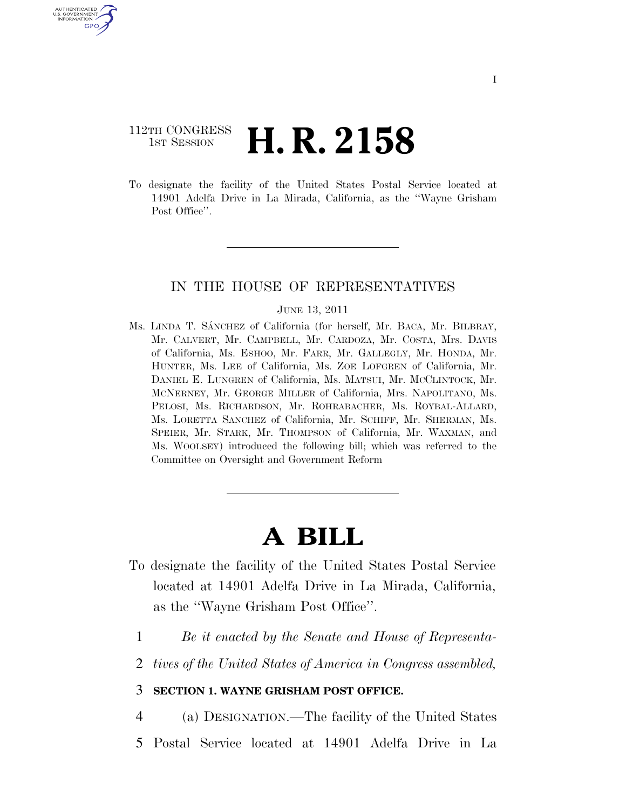## 112TH CONGRESS <sup>TH CONGRESS</sup>  $\,$  **H. R. 2158**

U.S. GOVERNMENT GPO

> To designate the facility of the United States Postal Service located at 14901 Adelfa Drive in La Mirada, California, as the ''Wayne Grisham Post Office".

## IN THE HOUSE OF REPRESENTATIVES

## JUNE 13, 2011

Ms. LINDA T. SÁNCHEZ of California (for herself, Mr. BACA, Mr. BILBRAY, Mr. CALVERT, Mr. CAMPBELL, Mr. CARDOZA, Mr. COSTA, Mrs. DAVIS of California, Ms. ESHOO, Mr. FARR, Mr. GALLEGLY, Mr. HONDA, Mr. HUNTER, Ms. LEE of California, Ms. ZOE LOFGREN of California, Mr. DANIEL E. LUNGREN of California, Ms. MATSUI, Mr. MCCLINTOCK, Mr. MCNERNEY, Mr. GEORGE MILLER of California, Mrs. NAPOLITANO, Ms. PELOSI, Ms. RICHARDSON, Mr. ROHRABACHER, Ms. ROYBAL-ALLARD, Ms. LORETTA SANCHEZ of California, Mr. SCHIFF, Mr. SHERMAN, Ms. SPEIER, Mr. STARK, Mr. THOMPSON of California, Mr. WAXMAN, and Ms. WOOLSEY) introduced the following bill; which was referred to the Committee on Oversight and Government Reform

## **A BILL**

- To designate the facility of the United States Postal Service located at 14901 Adelfa Drive in La Mirada, California, as the ''Wayne Grisham Post Office''.
	- 1 *Be it enacted by the Senate and House of Representa-*
	- 2 *tives of the United States of America in Congress assembled,*

3 **SECTION 1. WAYNE GRISHAM POST OFFICE.** 

- 4 (a) DESIGNATION.—The facility of the United States
- 5 Postal Service located at 14901 Adelfa Drive in La